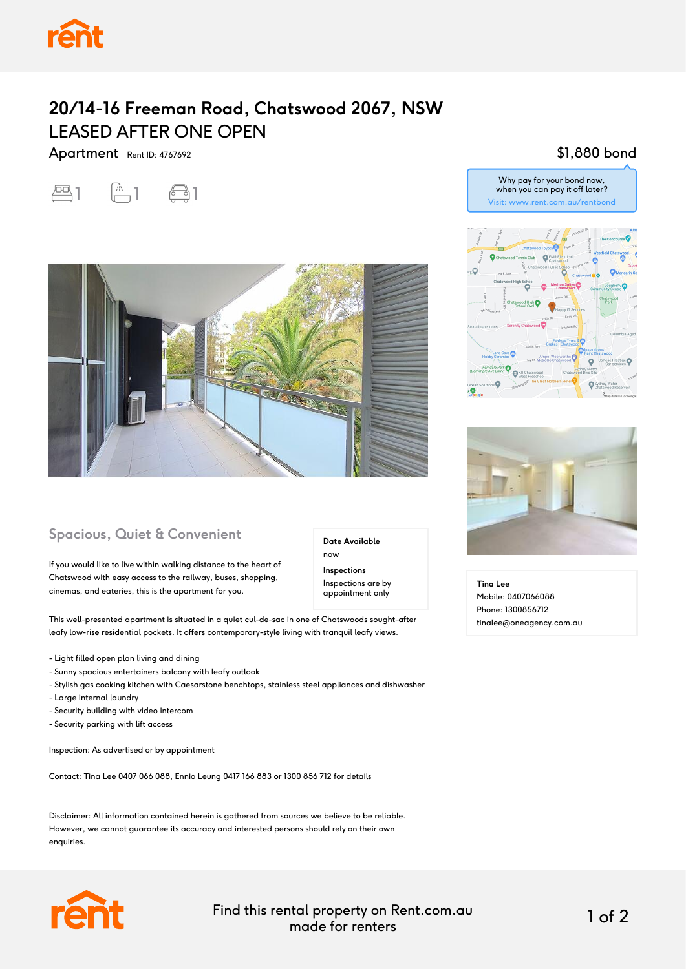

## **20/14-16 Freeman Road, Chatswood 2067, NSW** LEASED AFTER ONE OPEN

Apartment Rent ID: 4767692





## **Spacious, Quiet & Convenient**

If you would like to live within walking distance to the heart of Chatswood with easy access to the railway, buses, shopping, cinemas, and eateries, this is the apartment for you.

**Date Available** now

**Inspections** Inspections are by appointment only

This well-presented apartment is situated in a quiet cul-de-sac in one of Chatswoods sought-after leafy low-rise residential pockets. It offers contemporary-style living with tranquil leafy views.

- Light filled open plan living and dining
- Sunny spacious entertainers balcony with leafy outlook
- Stylish gas cooking kitchen with Caesarstone benchtops, stainless steel appliances and dishwasher
- Large internal laundry
- Security building with video intercom
- Security parking with lift access

Inspection: As advertised or by appointment

Contact: Tina Lee 0407 066 088, Ennio Leung 0417 166 883 or 1300 856 712 for details

Disclaimer: All information contained herein is gathered from sources we believe to be reliable. However, we cannot guarantee its accuracy and interested persons should rely on their own enquiries.



Find this rental property on Rent.com.au made for renters 1 of 2

## \$1,880 bond



Why pay for your bond now, when you can pay it off later?



**Tina Lee** Mobile: 0407066088 Phone: 1300856712 tinalee@oneagency.com.au